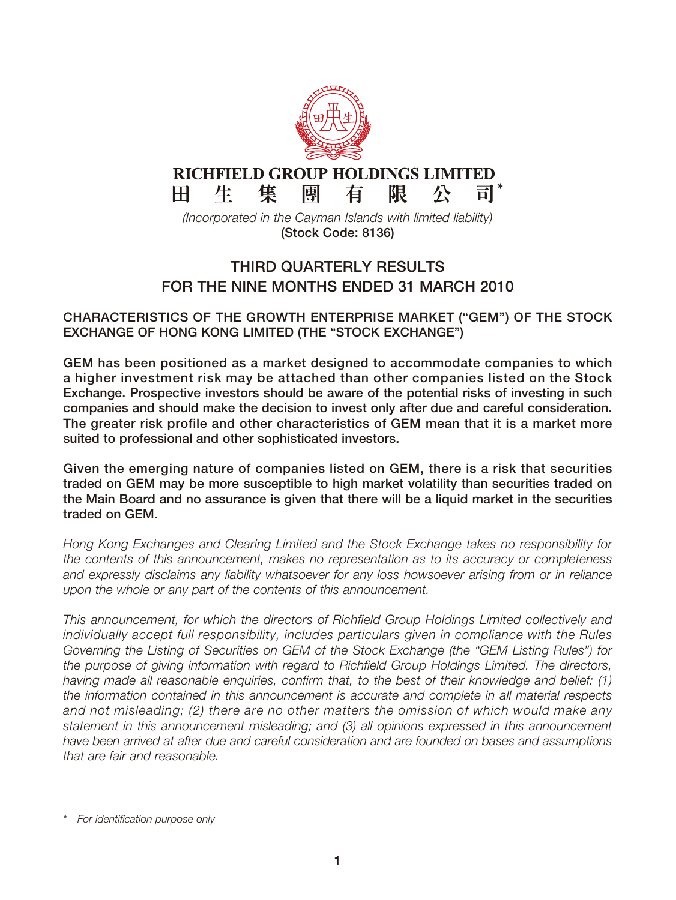

## **THIRD QUARTERLY RESULTS FOR THE NINE MONTHS ENDED 31 MARCH 2010**

**CHARACTERISTICS OF THE GROWTH ENTERPRISE MARKET ("GEM") OF THE STOCK EXCHANGE OF HONG KONG LIMITED (THE "STOCK EXCHANGE")**

**GEM has been positioned as a market designed to accommodate companies to which a higher investment risk may be attached than other companies listed on the Stock Exchange. Prospective investors should be aware of the potential risks of investing in such companies and should make the decision to invest only after due and careful consideration. The greater risk profile and other characteristics of GEM mean that it is a market more suited to professional and other sophisticated investors.**

**Given the emerging nature of companies listed on GEM, there is a risk that securities traded on GEM may be more susceptible to high market volatility than securities traded on the Main Board and no assurance is given that there will be a liquid market in the securities traded on GEM.**

*Hong Kong Exchanges and Clearing Limited and the Stock Exchange takes no responsibility for the contents of this announcement, makes no representation as to its accuracy or completeness and expressly disclaims any liability whatsoever for any loss howsoever arising from or in reliance upon the whole or any part of the contents of this announcement.*

*This announcement, for which the directors of Richfield Group Holdings Limited collectively and individually accept full responsibility, includes particulars given in compliance with the Rules Governing the Listing of Securities on GEM of the Stock Exchange (the "GEM Listing Rules") for the purpose of giving information with regard to Richfield Group Holdings Limited. The directors, having made all reasonable enquiries, confirm that, to the best of their knowledge and belief: (1) the information contained in this announcement is accurate and complete in all material respects and not misleading; (2) there are no other matters the omission of which would make any statement in this announcement misleading; and (3) all opinions expressed in this announcement have been arrived at after due and careful consideration and are founded on bases and assumptions that are fair and reasonable.*

*<sup>\*</sup> For identification purpose only*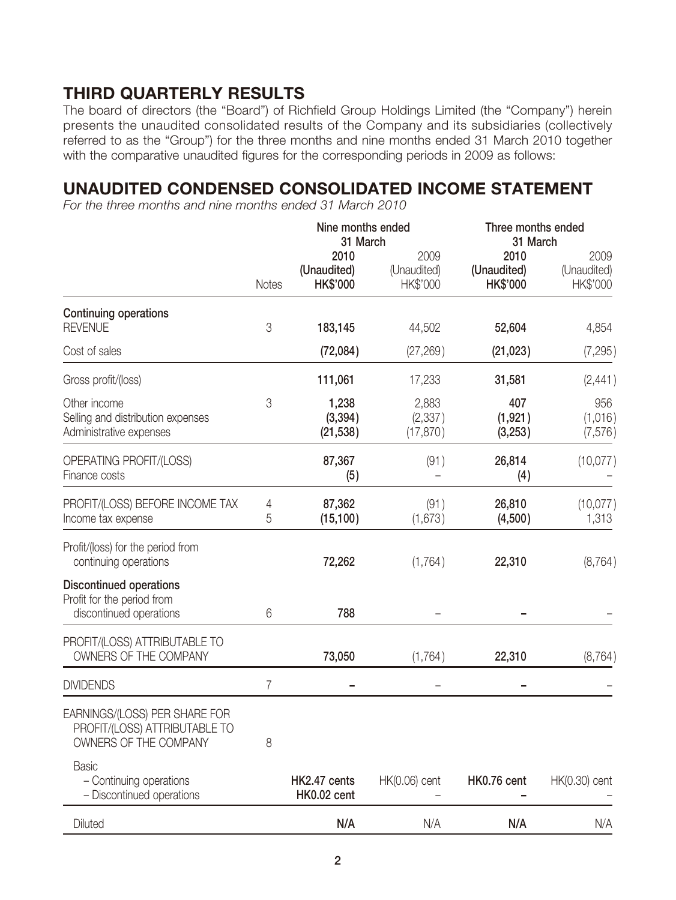# **THIRD QUARTERLY RESULTS**

The board of directors (the "Board") of Richfield Group Holdings Limited (the "Company") herein presents the unaudited consolidated results of the Company and its subsidiaries (collectively referred to as the "Group") for the three months and nine months ended 31 March 2010 together with the comparative unaudited figures for the corresponding periods in 2009 as follows:

## **UNAUDITED CONDENSED CONSOLIDATED INCOME STATEMENT**

*For the three months and nine months ended 31 March 2010*

|                                                                                         |              | Nine months ended<br>31 March          |                                 | Three months ended<br>31 March         |                                 |
|-----------------------------------------------------------------------------------------|--------------|----------------------------------------|---------------------------------|----------------------------------------|---------------------------------|
|                                                                                         | <b>Notes</b> | 2010<br>(Unaudited)<br><b>HK\$'000</b> | 2009<br>(Unaudited)<br>HK\$'000 | 2010<br>(Unaudited)<br><b>HK\$'000</b> | 2009<br>(Unaudited)<br>HK\$'000 |
| <b>Continuing operations</b><br><b>REVENUE</b>                                          | 3            | 183,145                                | 44,502                          | 52,604                                 | 4,854                           |
| Cost of sales                                                                           |              | (72,084)                               | (27, 269)                       | (21, 023)                              | (7, 295)                        |
| Gross profit/(loss)                                                                     |              | 111,061                                | 17,233                          | 31,581                                 | (2,441)                         |
| Other income<br>Selling and distribution expenses<br>Administrative expenses            | 3            | 1,238<br>(3, 394)<br>(21, 538)         | 2,883<br>(2, 337)<br>(17, 870)  | 407<br>(1, 921)<br>(3,253)             | 956<br>(1,016)<br>(7, 576)      |
| OPERATING PROFIT/(LOSS)<br>Finance costs                                                |              | 87,367<br>(5)                          | (91)                            | 26,814<br>(4)                          | (10,077)                        |
| PROFIT/(LOSS) BEFORE INCOME TAX<br>Income tax expense                                   | 4<br>5       | 87,362<br>(15, 100)                    | (91)<br>(1,673)                 | 26,810<br>(4,500)                      | (10,077)<br>1,313               |
| Profit/(loss) for the period from<br>continuing operations                              |              | 72,262                                 | (1,764)                         | 22,310                                 | (8, 764)                        |
| <b>Discontinued operations</b><br>Profit for the period from<br>discontinued operations | 6            | 788                                    |                                 |                                        |                                 |
| PROFIT/(LOSS) ATTRIBUTABLE TO<br>OWNERS OF THE COMPANY                                  |              | 73,050                                 | (1,764)                         | 22,310                                 | (8, 764)                        |
| <b>DIVIDENDS</b>                                                                        | 7            |                                        |                                 |                                        |                                 |
| EARNINGS/(LOSS) PER SHARE FOR<br>PROFIT/(LOSS) ATTRIBUTABLE TO<br>OWNERS OF THE COMPANY | 8            |                                        |                                 |                                        |                                 |
| <b>Basic</b><br>- Continuing operations<br>- Discontinued operations                    |              | HK2.47 cents<br>HK0.02 cent            | HK(0.06) cent                   | HK0.76 cent                            | HK(0.30) cent                   |
| <b>Diluted</b>                                                                          |              | N/A                                    | N/A                             | N/A                                    | N/A                             |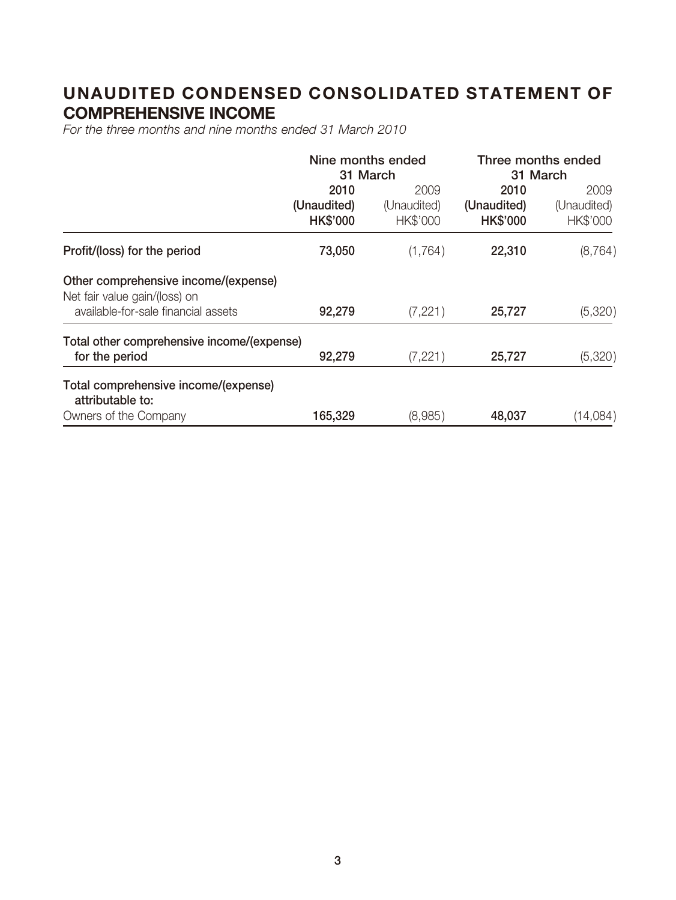# **UNAUDITED CONDENSED CONSOLIDATED STATEMENT OF COMPREHENSIVE INCOME**

*For the three months and nine months ended 31 March 2010*

|                                                                       | Nine months ended<br>31 March          |                                        | Three months ended<br>31 March         |                                 |
|-----------------------------------------------------------------------|----------------------------------------|----------------------------------------|----------------------------------------|---------------------------------|
|                                                                       | 2010<br>(Unaudited)<br><b>HK\$'000</b> | 2009<br>(Unaudited)<br><b>HK\$'000</b> | 2010<br>(Unaudited)<br><b>HK\$'000</b> | 2009<br>(Unaudited)<br>HK\$'000 |
| Profit/(loss) for the period                                          | 73,050                                 | (1,764)                                | 22,310                                 | (8, 764)                        |
| Other comprehensive income/(expense)<br>Net fair value gain/(loss) on |                                        |                                        |                                        |                                 |
| available-for-sale financial assets                                   | 92,279                                 | (7, 221)                               | 25,727                                 | (5,320)                         |
| Total other comprehensive income/(expense)<br>for the period          | 92,279                                 | (7,221)                                | 25,727                                 | (5,320)                         |
| Total comprehensive income/(expense)<br>attributable to:              |                                        |                                        |                                        |                                 |
| Owners of the Company                                                 | 165,329                                | (8,985)                                | 48,037                                 | (14,084)                        |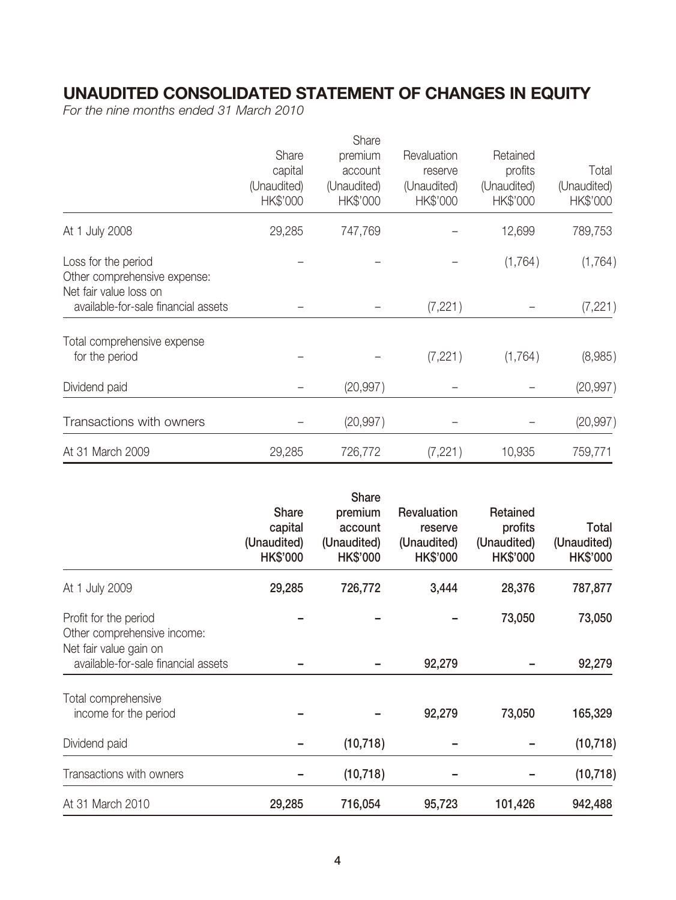## **UNAUDITED CONSOLIDATED STATEMENT OF CHANGES IN EQUITY**

*For the nine months ended 31 March 2010*

|             | Share       |             |             |             |
|-------------|-------------|-------------|-------------|-------------|
| Share       | premium     | Revaluation | Retained    |             |
| capital     | account     | reserve     | profits     | Total       |
| (Unaudited) | (Unaudited) | (Unaudited) | (Unaudited) | (Unaudited) |
| HK\$'000    | HK\$'000    | HK\$'000    | HK\$'000    | HK\$'000    |
| 29,285      | 747,769     |             | 12,699      | 789,753     |
|             |             |             | (1,764)     | (1, 764)    |
|             |             |             |             |             |
|             |             |             |             |             |
|             |             | (7, 221)    |             | (7, 221)    |
|             |             |             |             |             |
|             |             | (7, 221)    | (1,764)     | (8,985)     |
|             | (20, 997)   |             |             | (20, 997)   |
|             |             |             |             |             |
|             | (20, 997)   |             |             | (20, 997)   |
| 29,285      | 726,772     | (7, 221)    | 10,935      | 759,771     |
|             |             |             |             |             |

|                                                                                |                                                           | Share                                                |                                                          |                                                       |                                         |
|--------------------------------------------------------------------------------|-----------------------------------------------------------|------------------------------------------------------|----------------------------------------------------------|-------------------------------------------------------|-----------------------------------------|
|                                                                                | <b>Share</b><br>capital<br>(Unaudited)<br><b>HK\$'000</b> | premium<br>account<br>(Unaudited)<br><b>HK\$'000</b> | Revaluation<br>reserve<br>(Unaudited)<br><b>HK\$'000</b> | Retained<br>profits<br>(Unaudited)<br><b>HK\$'000</b> | Total<br>(Unaudited)<br><b>HK\$'000</b> |
| At 1 July 2009                                                                 | 29,285                                                    | 726,772                                              | 3,444                                                    | 28,376                                                | 787,877                                 |
| Profit for the period<br>Other comprehensive income:<br>Net fair value gain on |                                                           |                                                      |                                                          | 73,050                                                | 73,050                                  |
| available-for-sale financial assets                                            |                                                           |                                                      | 92,279                                                   |                                                       | 92,279                                  |
| Total comprehensive<br>income for the period                                   |                                                           |                                                      | 92,279                                                   | 73,050                                                | 165,329                                 |
| Dividend paid                                                                  |                                                           | (10, 718)                                            |                                                          |                                                       | (10, 718)                               |
| Transactions with owners                                                       |                                                           | (10, 718)                                            |                                                          |                                                       | (10, 718)                               |
| At 31 March 2010                                                               | 29,285                                                    | 716,054                                              | 95,723                                                   | 101,426                                               | 942,488                                 |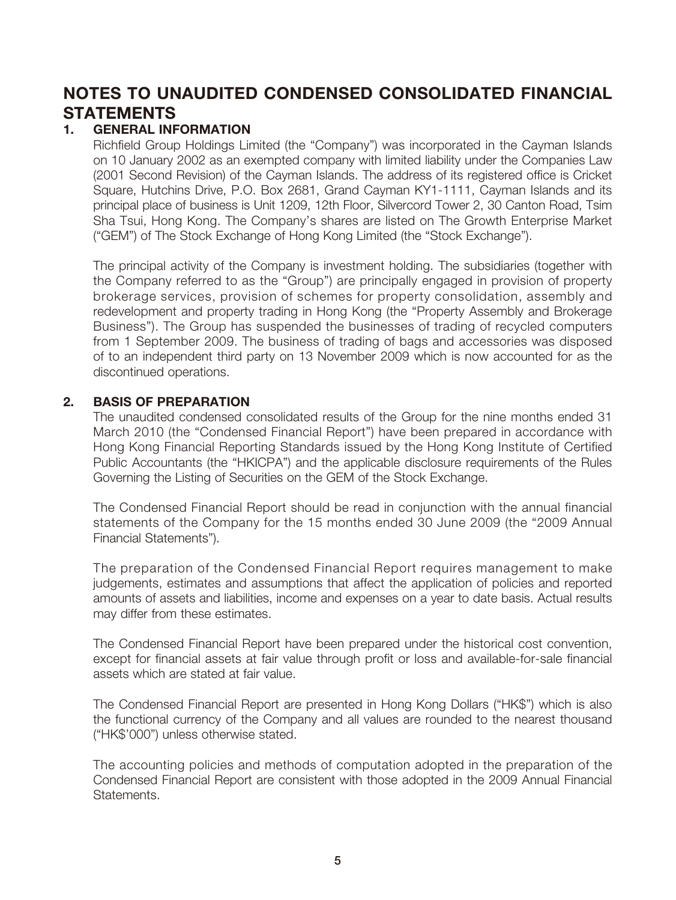# **NOTES TO UNAUDITED CONDENSED CONSOLIDATED FINANCIAL STATEMENTS**

## **1. GENERAL INFORMATION**

Richfield Group Holdings Limited (the "Company") was incorporated in the Cayman Islands on 10 January 2002 as an exempted company with limited liability under the Companies Law (2001 Second Revision) of the Cayman Islands. The address of its registered office is Cricket Square, Hutchins Drive, P.O. Box 2681, Grand Cayman KY1-1111, Cayman Islands and its principal place of business is Unit 1209, 12th Floor, Silvercord Tower 2, 30 Canton Road, Tsim Sha Tsui, Hong Kong. The Company's shares are listed on The Growth Enterprise Market ("GEM") of The Stock Exchange of Hong Kong Limited (the "Stock Exchange").

The principal activity of the Company is investment holding. The subsidiaries (together with the Company referred to as the "Group") are principally engaged in provision of property brokerage services, provision of schemes for property consolidation, assembly and redevelopment and property trading in Hong Kong (the "Property Assembly and Brokerage Business"). The Group has suspended the businesses of trading of recycled computers from 1 September 2009. The business of trading of bags and accessories was disposed of to an independent third party on 13 November 2009 which is now accounted for as the discontinued operations.

### **2. BASIS OF PREPARATION**

The unaudited condensed consolidated results of the Group for the nine months ended 31 March 2010 (the "Condensed Financial Report") have been prepared in accordance with Hong Kong Financial Reporting Standards issued by the Hong Kong Institute of Certified Public Accountants (the "HKICPA") and the applicable disclosure requirements of the Rules Governing the Listing of Securities on the GEM of the Stock Exchange.

The Condensed Financial Report should be read in conjunction with the annual financial statements of the Company for the 15 months ended 30 June 2009 (the "2009 Annual Financial Statements").

The preparation of the Condensed Financial Report requires management to make judgements, estimates and assumptions that affect the application of policies and reported amounts of assets and liabilities, income and expenses on a year to date basis. Actual results may differ from these estimates.

The Condensed Financial Report have been prepared under the historical cost convention, except for financial assets at fair value through profit or loss and available-for-sale financial assets which are stated at fair value.

The Condensed Financial Report are presented in Hong Kong Dollars ("HK\$") which is also the functional currency of the Company and all values are rounded to the nearest thousand ("HK\$'000") unless otherwise stated.

The accounting policies and methods of computation adopted in the preparation of the Condensed Financial Report are consistent with those adopted in the 2009 Annual Financial Statements.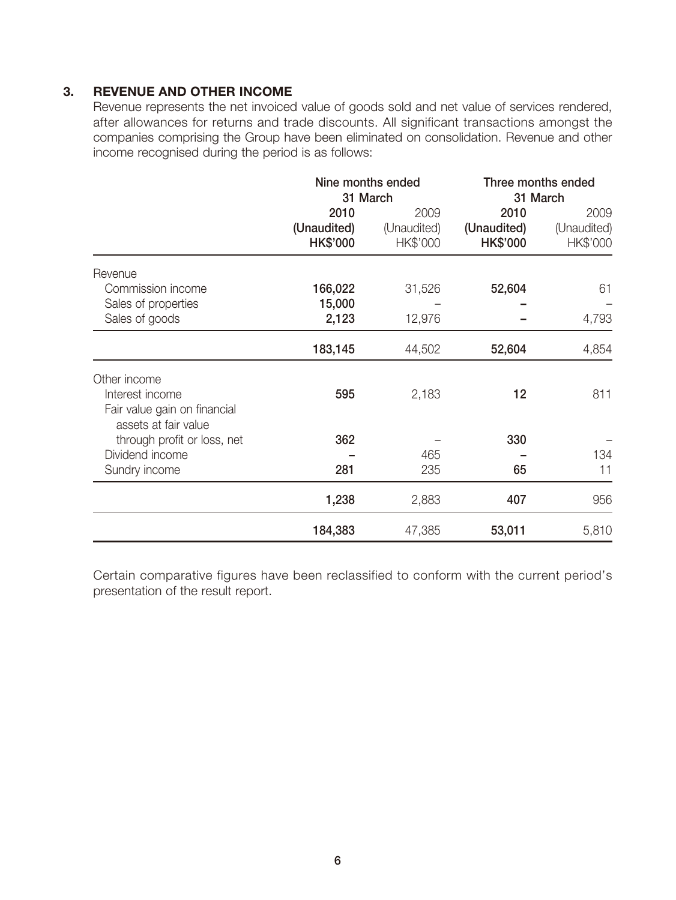### **3. REVENUE AND OTHER INCOME**

Revenue represents the net invoiced value of goods sold and net value of services rendered, after allowances for returns and trade discounts. All significant transactions amongst the companies comprising the Group have been eliminated on consolidation. Revenue and other income recognised during the period is as follows:

|                                                      | Nine months ended<br>31 March |                     | Three months ended<br>31 March |                     |
|------------------------------------------------------|-------------------------------|---------------------|--------------------------------|---------------------|
|                                                      | 2010<br>(Unaudited)           | 2009<br>(Unaudited) | 2010<br>(Unaudited)            | 2009<br>(Unaudited) |
|                                                      | <b>HK\$'000</b>               | HK\$'000            | <b>HK\$'000</b>                | HK\$'000            |
| Revenue                                              |                               |                     |                                |                     |
| Commission income                                    | 166,022                       | 31,526              | 52,604                         | 61                  |
| Sales of properties                                  | 15,000                        |                     |                                |                     |
| Sales of goods                                       | 2,123                         | 12,976              |                                | 4,793               |
|                                                      | 183,145                       | 44,502              | 52,604                         | 4,854               |
| Other income                                         |                               |                     |                                |                     |
| Interest income                                      | 595                           | 2,183               | 12                             | 811                 |
| Fair value gain on financial<br>assets at fair value |                               |                     |                                |                     |
| through profit or loss, net                          | 362                           |                     | 330                            |                     |
| Dividend income                                      |                               | 465                 |                                | 134                 |
| Sundry income                                        | 281                           | 235                 | 65                             | 11                  |
|                                                      | 1,238                         | 2,883               | 407                            | 956                 |
|                                                      | 184,383                       | 47,385              | 53,011                         | 5,810               |

Certain comparative figures have been reclassified to conform with the current period's presentation of the result report.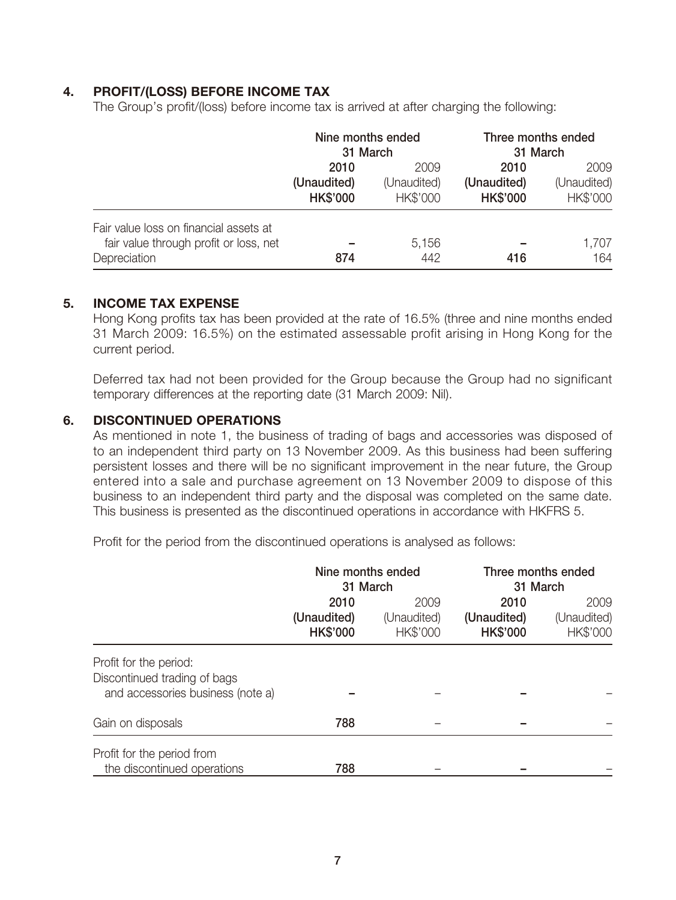## **4. PROFIT/(LOSS) BEFORE INCOME TAX**

The Group's profit/(loss) before income tax is arrived at after charging the following:

|                                                                                                  | Nine months ended<br>31 March          |                                        | Three months ended<br>31 March         |                                 |
|--------------------------------------------------------------------------------------------------|----------------------------------------|----------------------------------------|----------------------------------------|---------------------------------|
|                                                                                                  | 2010<br>(Unaudited)<br><b>HK\$'000</b> | 2009<br>(Unaudited)<br><b>HK\$'000</b> | 2010<br>(Unaudited)<br><b>HK\$'000</b> | 2009<br>(Unaudited)<br>HK\$'000 |
| Fair value loss on financial assets at<br>fair value through profit or loss, net<br>Depreciation | 874                                    | 5,156<br>442                           | 416                                    | 1,707<br>164                    |

### **5. INCOME TAX EXPENSE**

Hong Kong profits tax has been provided at the rate of 16.5% (three and nine months ended 31 March 2009: 16.5%) on the estimated assessable profit arising in Hong Kong for the current period.

Deferred tax had not been provided for the Group because the Group had no significant temporary differences at the reporting date (31 March 2009: Nil).

### **6. DISCONTINUED OPERATIONS**

As mentioned in note 1, the business of trading of bags and accessories was disposed of to an independent third party on 13 November 2009. As this business had been suffering persistent losses and there will be no significant improvement in the near future, the Group entered into a sale and purchase agreement on 13 November 2009 to dispose of this business to an independent third party and the disposal was completed on the same date. This business is presented as the discontinued operations in accordance with HKFRS 5.

Profit for the period from the discontinued operations is analysed as follows:

|                                                                                             | Nine months ended<br>31 March          |                                        | Three months ended<br>31 March         |                                 |
|---------------------------------------------------------------------------------------------|----------------------------------------|----------------------------------------|----------------------------------------|---------------------------------|
|                                                                                             | 2010<br>(Unaudited)<br><b>HK\$'000</b> | 2009<br>(Unaudited)<br><b>HK\$'000</b> | 2010<br>(Unaudited)<br><b>HK\$'000</b> | 2009<br>(Unaudited)<br>HK\$'000 |
| Profit for the period:<br>Discontinued trading of bags<br>and accessories business (note a) |                                        |                                        |                                        |                                 |
| Gain on disposals                                                                           | 788                                    |                                        |                                        |                                 |
| Profit for the period from<br>the discontinued operations                                   | 788                                    |                                        |                                        |                                 |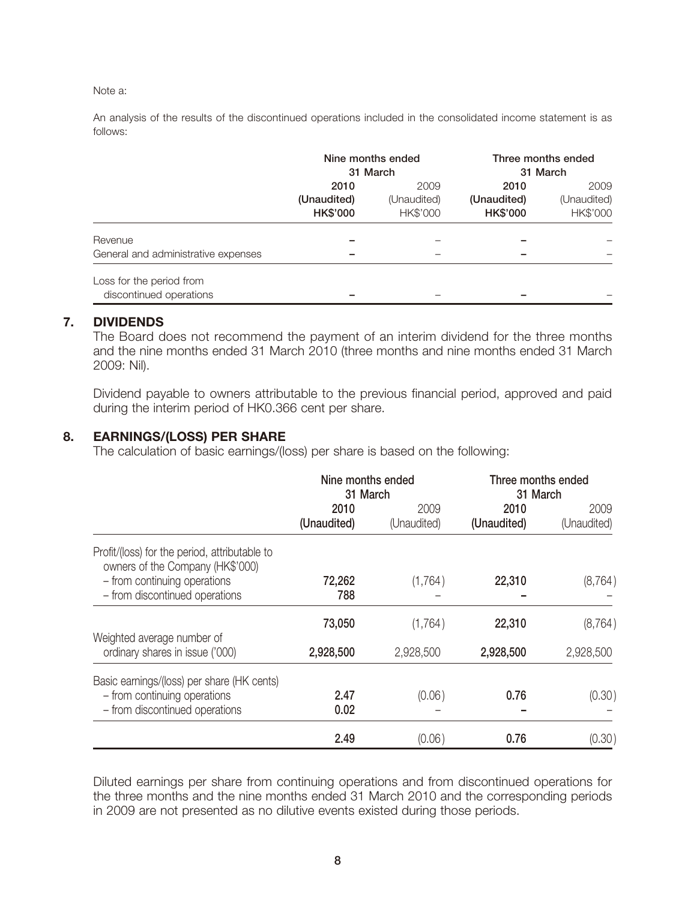### Note a:

An analysis of the results of the discontinued operations included in the consolidated income statement is as follows:

|                                                     | Nine months ended<br>31 March          |                                 | Three months ended<br>31 March         |                                 |
|-----------------------------------------------------|----------------------------------------|---------------------------------|----------------------------------------|---------------------------------|
|                                                     | 2010<br>(Unaudited)<br><b>HK\$'000</b> | 2009<br>(Unaudited)<br>HK\$'000 | 2010<br>(Unaudited)<br><b>HK\$'000</b> | 2009<br>(Unaudited)<br>HK\$'000 |
| Revenue<br>General and administrative expenses      |                                        |                                 |                                        |                                 |
| Loss for the period from<br>discontinued operations |                                        |                                 |                                        |                                 |

### **7. DIVIDENDS**

The Board does not recommend the payment of an interim dividend for the three months and the nine months ended 31 March 2010 (three months and nine months ended 31 March 2009: Nil).

Dividend payable to owners attributable to the previous financial period, approved and paid during the interim period of HK0.366 cent per share.

### **8. EARNINGS/(LOSS) PER SHARE**

The calculation of basic earnings/(loss) per share is based on the following:

|                                                                                                              | Nine months ended<br>31 March |                     | Three months ended<br>31 March |                     |
|--------------------------------------------------------------------------------------------------------------|-------------------------------|---------------------|--------------------------------|---------------------|
|                                                                                                              | 2010<br>(Unaudited)           | 2009<br>(Unaudited) | 2010<br>(Unaudited)            | 2009<br>(Unaudited) |
| Profit/(loss) for the period, attributable to<br>owners of the Company (HK\$'000)                            |                               |                     |                                |                     |
| - from continuing operations<br>- from discontinued operations                                               | 72,262<br>788                 | (1,764)             | 22,310                         | (8, 764)            |
|                                                                                                              | 73,050                        | (1,764)             | 22,310                         | (8, 764)            |
| Weighted average number of<br>ordinary shares in issue ('000)                                                | 2,928,500                     | 2,928,500           | 2,928,500                      | 2,928,500           |
| Basic earnings/(loss) per share (HK cents)<br>- from continuing operations<br>- from discontinued operations | 2.47<br>0.02                  | (0.06)              | 0.76                           | (0.30)              |
|                                                                                                              | 2.49                          | (0.06)              | 0.76                           | (0.30)              |

Diluted earnings per share from continuing operations and from discontinued operations for the three months and the nine months ended 31 March 2010 and the corresponding periods in 2009 are not presented as no dilutive events existed during those periods.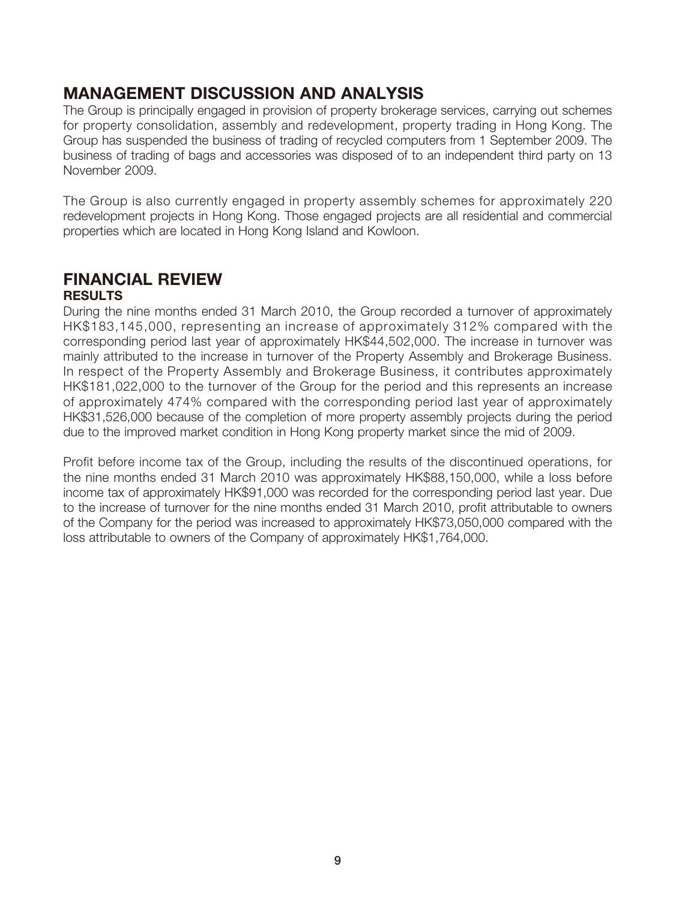# **MANAGEMENT DISCUSSION AND ANALYSIS**

The Group is principally engaged in provision of property brokerage services, carrying out schemes for property consolidation, assembly and redevelopment, property trading in Hong Kong. The Group has suspended the business of trading of recycled computers from 1 September 2009. The business of trading of bags and accessories was disposed of to an independent third party on 13 November 2009.

The Group is also currently engaged in property assembly schemes for approximately 220 redevelopment projects in Hong Kong. Those engaged projects are all residential and commercial properties which are located in Hong Kong Island and Kowloon.

### **FINANCIAL REVIEW RESULTS**

During the nine months ended 31 March 2010, the Group recorded a turnover of approximately HK\$183,145,000, representing an increase of approximately 312% compared with the corresponding period last year of approximately HK\$44,502,000. The increase in turnover was mainly attributed to the increase in turnover of the Property Assembly and Brokerage Business. In respect of the Property Assembly and Brokerage Business, it contributes approximately HK\$181,022,000 to the turnover of the Group for the period and this represents an increase of approximately 474% compared with the corresponding period last year of approximately HK\$31,526,000 because of the completion of more property assembly projects during the period due to the improved market condition in Hong Kong property market since the mid of 2009.

Profit before income tax of the Group, including the results of the discontinued operations, for the nine months ended 31 March 2010 was approximately HK\$88,150,000, while a loss before income tax of approximately HK\$91,000 was recorded for the corresponding period last year. Due to the increase of turnover for the nine months ended 31 March 2010, profit attributable to owners of the Company for the period was increased to approximately HK\$73,050,000 compared with the loss attributable to owners of the Company of approximately HK\$1,764,000.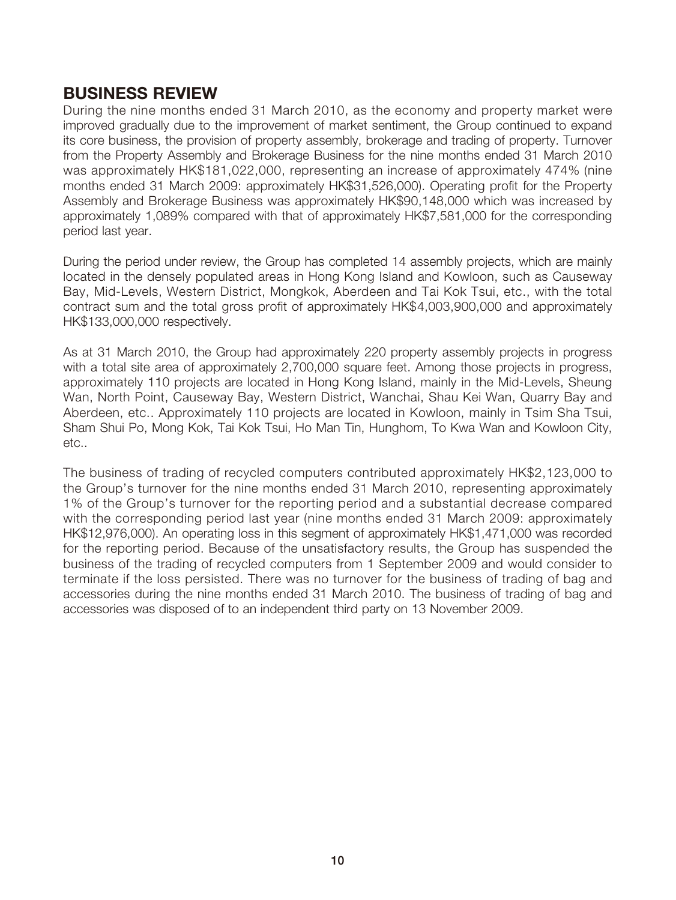## **BUSINESS REVIEW**

During the nine months ended 31 March 2010, as the economy and property market were improved gradually due to the improvement of market sentiment, the Group continued to expand its core business, the provision of property assembly, brokerage and trading of property. Turnover from the Property Assembly and Brokerage Business for the nine months ended 31 March 2010 was approximately HK\$181,022,000, representing an increase of approximately 474% (nine months ended 31 March 2009: approximately HK\$31,526,000). Operating profit for the Property Assembly and Brokerage Business was approximately HK\$90,148,000 which was increased by approximately 1,089% compared with that of approximately HK\$7,581,000 for the corresponding period last year.

During the period under review, the Group has completed 14 assembly projects, which are mainly located in the densely populated areas in Hong Kong Island and Kowloon, such as Causeway Bay, Mid-Levels, Western District, Mongkok, Aberdeen and Tai Kok Tsui, etc., with the total contract sum and the total gross profit of approximately HK\$4,003,900,000 and approximately HK\$133,000,000 respectively.

As at 31 March 2010, the Group had approximately 220 property assembly projects in progress with a total site area of approximately 2,700,000 square feet. Among those projects in progress, approximately 110 projects are located in Hong Kong Island, mainly in the Mid-Levels, Sheung Wan, North Point, Causeway Bay, Western District, Wanchai, Shau Kei Wan, Quarry Bay and Aberdeen, etc.. Approximately 110 projects are located in Kowloon, mainly in Tsim Sha Tsui, Sham Shui Po, Mong Kok, Tai Kok Tsui, Ho Man Tin, Hunghom, To Kwa Wan and Kowloon City, etc..

The business of trading of recycled computers contributed approximately HK\$2,123,000 to the Group's turnover for the nine months ended 31 March 2010, representing approximately 1% of the Group's turnover for the reporting period and a substantial decrease compared with the corresponding period last year (nine months ended 31 March 2009: approximately HK\$12,976,000). An operating loss in this segment of approximately HK\$1,471,000 was recorded for the reporting period. Because of the unsatisfactory results, the Group has suspended the business of the trading of recycled computers from 1 September 2009 and would consider to terminate if the loss persisted. There was no turnover for the business of trading of bag and accessories during the nine months ended 31 March 2010. The business of trading of bag and accessories was disposed of to an independent third party on 13 November 2009.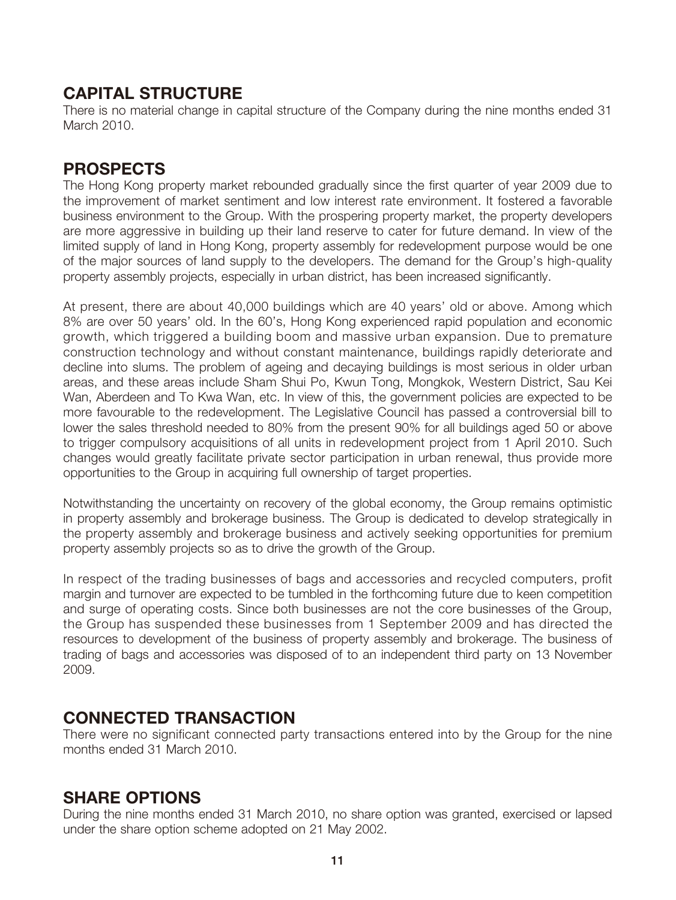# **CAPITAL STRUCTURE**

There is no material change in capital structure of the Company during the nine months ended 31 March 2010.

## **PROSPECTS**

The Hong Kong property market rebounded gradually since the first quarter of year 2009 due to the improvement of market sentiment and low interest rate environment. It fostered a favorable business environment to the Group. With the prospering property market, the property developers are more aggressive in building up their land reserve to cater for future demand. In view of the limited supply of land in Hong Kong, property assembly for redevelopment purpose would be one of the major sources of land supply to the developers. The demand for the Group's high-quality property assembly projects, especially in urban district, has been increased significantly.

At present, there are about 40,000 buildings which are 40 years' old or above. Among which 8% are over 50 years' old. In the 60's, Hong Kong experienced rapid population and economic growth, which triggered a building boom and massive urban expansion. Due to premature construction technology and without constant maintenance, buildings rapidly deteriorate and decline into slums. The problem of ageing and decaying buildings is most serious in older urban areas, and these areas include Sham Shui Po, Kwun Tong, Mongkok, Western District, Sau Kei Wan, Aberdeen and To Kwa Wan, etc. In view of this, the government policies are expected to be more favourable to the redevelopment. The Legislative Council has passed a controversial bill to lower the sales threshold needed to 80% from the present 90% for all buildings aged 50 or above to trigger compulsory acquisitions of all units in redevelopment project from 1 April 2010. Such changes would greatly facilitate private sector participation in urban renewal, thus provide more opportunities to the Group in acquiring full ownership of target properties.

Notwithstanding the uncertainty on recovery of the global economy, the Group remains optimistic in property assembly and brokerage business. The Group is dedicated to develop strategically in the property assembly and brokerage business and actively seeking opportunities for premium property assembly projects so as to drive the growth of the Group.

In respect of the trading businesses of bags and accessories and recycled computers, profit margin and turnover are expected to be tumbled in the forthcoming future due to keen competition and surge of operating costs. Since both businesses are not the core businesses of the Group, the Group has suspended these businesses from 1 September 2009 and has directed the resources to development of the business of property assembly and brokerage. The business of trading of bags and accessories was disposed of to an independent third party on 13 November 2009.

## **CONNECTED TRANSACTION**

There were no significant connected party transactions entered into by the Group for the nine months ended 31 March 2010.

## **SHARE OPTIONS**

During the nine months ended 31 March 2010, no share option was granted, exercised or lapsed under the share option scheme adopted on 21 May 2002.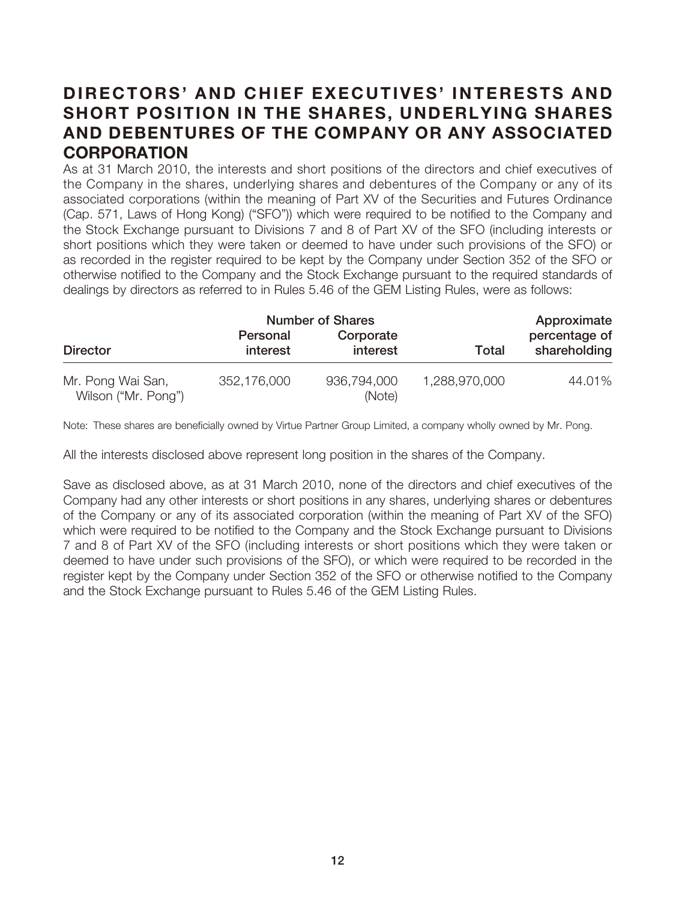# **DIRECTORS' AND CHIEF EXECUTIVES' INTERESTS AND SHORT POSITION IN THE SHARES, UNDERLYING SHARES AND DEBENTURES OF THE COMPANY OR ANY ASSOCIATED CORPORATION**

As at 31 March 2010, the interests and short positions of the directors and chief executives of the Company in the shares, underlying shares and debentures of the Company or any of its associated corporations (within the meaning of Part XV of the Securities and Futures Ordinance (Cap. 571, Laws of Hong Kong) ("SFO")) which were required to be notified to the Company and the Stock Exchange pursuant to Divisions 7 and 8 of Part XV of the SFO (including interests or short positions which they were taken or deemed to have under such provisions of the SFO) or as recorded in the register required to be kept by the Company under Section 352 of the SFO or otherwise notified to the Company and the Stock Exchange pursuant to the required standards of dealings by directors as referred to in Rules 5.46 of the GEM Listing Rules, were as follows:

|                                          |                      | <b>Number of Shares</b> |               | Approximate                   |
|------------------------------------------|----------------------|-------------------------|---------------|-------------------------------|
| <b>Director</b>                          | Personal<br>interest | Corporate<br>interest   | Total         | percentage of<br>shareholding |
| Mr. Pong Wai San,<br>Wilson ("Mr. Pong") | 352,176,000          | 936,794,000<br>(Note)   | 1,288,970,000 | 44.01%                        |

Note: These shares are beneficially owned by Virtue Partner Group Limited, a company wholly owned by Mr. Pong.

All the interests disclosed above represent long position in the shares of the Company.

Save as disclosed above, as at 31 March 2010, none of the directors and chief executives of the Company had any other interests or short positions in any shares, underlying shares or debentures of the Company or any of its associated corporation (within the meaning of Part XV of the SFO) which were required to be notified to the Company and the Stock Exchange pursuant to Divisions 7 and 8 of Part XV of the SFO (including interests or short positions which they were taken or deemed to have under such provisions of the SFO), or which were required to be recorded in the register kept by the Company under Section 352 of the SFO or otherwise notified to the Company and the Stock Exchange pursuant to Rules 5.46 of the GEM Listing Rules.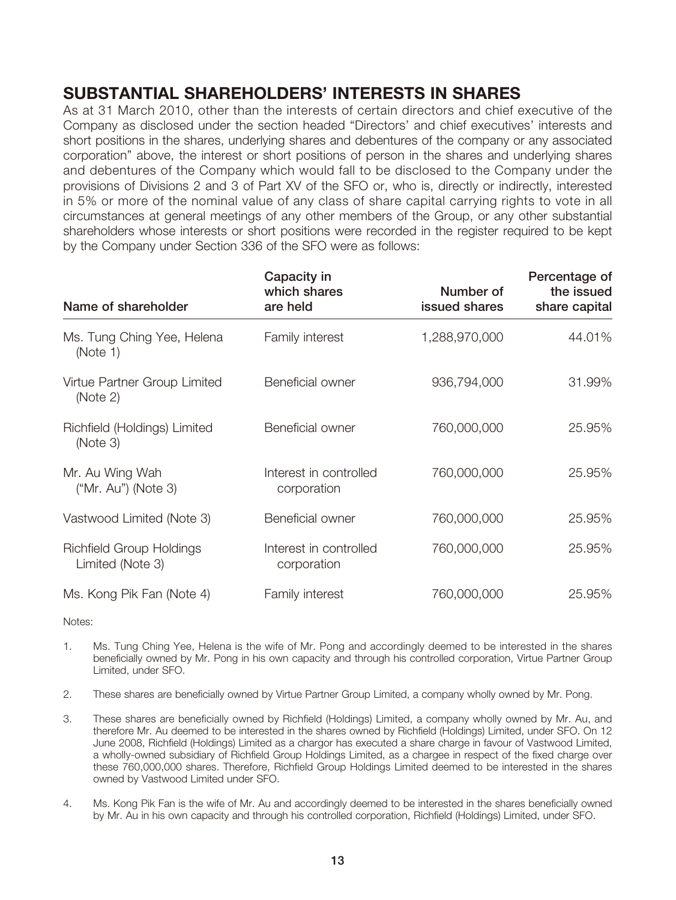# **SUBSTANTIAL SHAREHOLDERS' INTERESTS IN SHARES**

As at 31 March 2010, other than the interests of certain directors and chief executive of the Company as disclosed under the section headed "Directors' and chief executives' interests and short positions in the shares, underlying shares and debentures of the company or any associated corporation" above, the interest or short positions of person in the shares and underlying shares and debentures of the Company which would fall to be disclosed to the Company under the provisions of Divisions 2 and 3 of Part XV of the SFO or, who is, directly or indirectly, interested in 5% or more of the nominal value of any class of share capital carrying rights to vote in all circumstances at general meetings of any other members of the Group, or any other substantial shareholders whose interests or short positions were recorded in the register required to be kept by the Company under Section 336 of the SFO were as follows:

| Name of shareholder                          | Capacity in<br>which shares<br>are held | Number of<br>issued shares | Percentage of<br>the issued<br>share capital |
|----------------------------------------------|-----------------------------------------|----------------------------|----------------------------------------------|
| Ms. Tung Ching Yee, Helena<br>(Note 1)       | Family interest                         | 1,288,970,000              | 44.01%                                       |
| Virtue Partner Group Limited<br>(Note 2)     | Beneficial owner                        | 936,794,000                | 31.99%                                       |
| Richfield (Holdings) Limited<br>(Note 3)     | Beneficial owner                        | 760,000,000                | 25.95%                                       |
| Mr. Au Wing Wah<br>$("Mr. Au")$ (Note 3)     | Interest in controlled<br>corporation   | 760,000,000                | 25.95%                                       |
| Vastwood Limited (Note 3)                    | Beneficial owner                        | 760,000,000                | 25.95%                                       |
| Richfield Group Holdings<br>Limited (Note 3) | Interest in controlled<br>corporation   | 760,000,000                | 25.95%                                       |
| Ms. Kong Pik Fan (Note 4)                    | Family interest                         | 760,000,000                | 25.95%                                       |

Notes:

- 1. Ms. Tung Ching Yee, Helena is the wife of Mr. Pong and accordingly deemed to be interested in the shares beneficially owned by Mr. Pong in his own capacity and through his controlled corporation, Virtue Partner Group Limited, under SFO.
- 2. These shares are beneficially owned by Virtue Partner Group Limited, a company wholly owned by Mr. Pong.
- 3. These shares are beneficially owned by Richfield (Holdings) Limited, a company wholly owned by Mr. Au, and therefore Mr. Au deemed to be interested in the shares owned by Richfield (Holdings) Limited, under SFO. On 12 June 2008, Richfield (Holdings) Limited as a chargor has executed a share charge in favour of Vastwood Limited, a wholly-owned subsidiary of Richfield Group Holdings Limited, as a chargee in respect of the fixed charge over these 760,000,000 shares. Therefore, Richfield Group Holdings Limited deemed to be interested in the shares owned by Vastwood Limited under SFO.
- 4. Ms. Kong Pik Fan is the wife of Mr. Au and accordingly deemed to be interested in the shares beneficially owned by Mr. Au in his own capacity and through his controlled corporation, Richfield (Holdings) Limited, under SFO.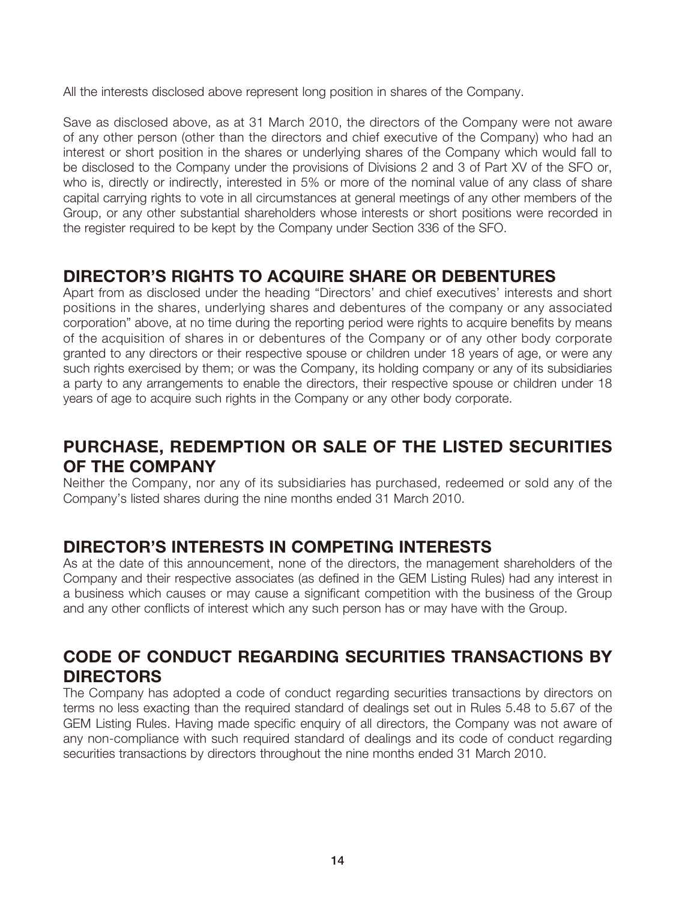All the interests disclosed above represent long position in shares of the Company.

Save as disclosed above, as at 31 March 2010, the directors of the Company were not aware of any other person (other than the directors and chief executive of the Company) who had an interest or short position in the shares or underlying shares of the Company which would fall to be disclosed to the Company under the provisions of Divisions 2 and 3 of Part XV of the SFO or, who is, directly or indirectly, interested in 5% or more of the nominal value of any class of share capital carrying rights to vote in all circumstances at general meetings of any other members of the Group, or any other substantial shareholders whose interests or short positions were recorded in the register required to be kept by the Company under Section 336 of the SFO.

# **DIRECTOR'S RIGHTS TO ACQUIRE SHARE OR DEBENTURES**

Apart from as disclosed under the heading "Directors' and chief executives' interests and short positions in the shares, underlying shares and debentures of the company or any associated corporation" above, at no time during the reporting period were rights to acquire benefits by means of the acquisition of shares in or debentures of the Company or of any other body corporate granted to any directors or their respective spouse or children under 18 years of age, or were any such rights exercised by them; or was the Company, its holding company or any of its subsidiaries a party to any arrangements to enable the directors, their respective spouse or children under 18 years of age to acquire such rights in the Company or any other body corporate.

# **PURCHASE, REDEMPTION OR SALE OF THE LISTED SECURITIES OF THE COMPANY**

Neither the Company, nor any of its subsidiaries has purchased, redeemed or sold any of the Company's listed shares during the nine months ended 31 March 2010.

# **DIRECTOR'S INTERESTS IN COMPETING INTERESTS**

As at the date of this announcement, none of the directors, the management shareholders of the Company and their respective associates (as defined in the GEM Listing Rules) had any interest in a business which causes or may cause a significant competition with the business of the Group and any other conflicts of interest which any such person has or may have with the Group.

# **CODE OF CONDUCT REGARDING SECURITIES TRANSACTIONS BY DIRECTORS**

The Company has adopted a code of conduct regarding securities transactions by directors on terms no less exacting than the required standard of dealings set out in Rules 5.48 to 5.67 of the GEM Listing Rules. Having made specific enquiry of all directors, the Company was not aware of any non-compliance with such required standard of dealings and its code of conduct regarding securities transactions by directors throughout the nine months ended 31 March 2010.